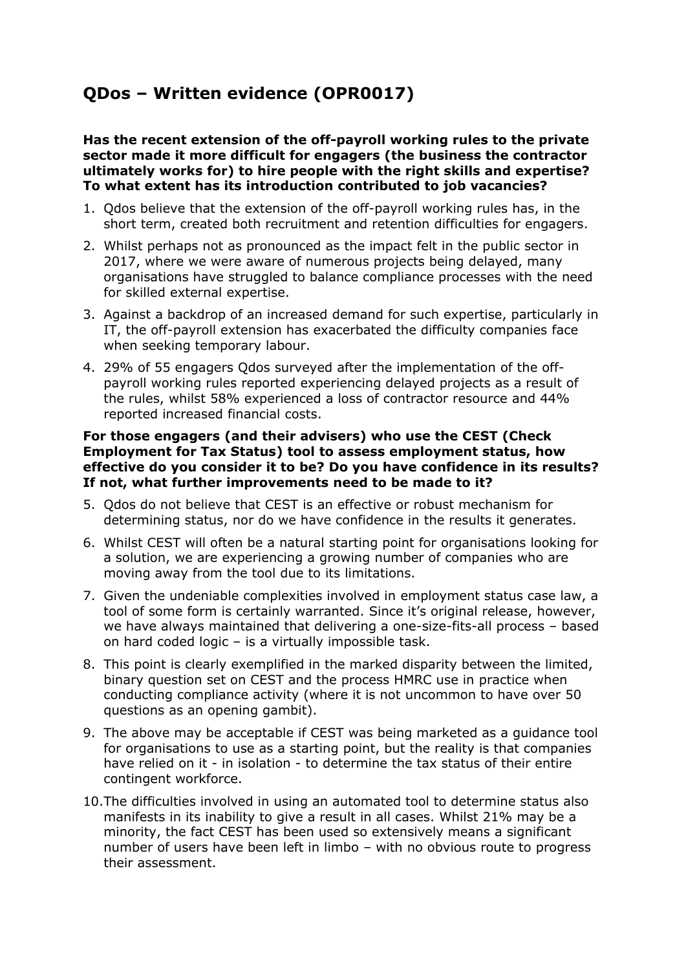# **QDos – Written evidence (OPR0017)**

## **Has the recent extension of the off-payroll working rules to the private sector made it more difficult for engagers (the business the contractor ultimately works for) to hire people with the right skills and expertise? To what extent has its introduction contributed to job vacancies?**

- 1. Qdos believe that the extension of the off-payroll working rules has, in the short term, created both recruitment and retention difficulties for engagers.
- 2. Whilst perhaps not as pronounced as the impact felt in the public sector in 2017, where we were aware of numerous projects being delayed, many organisations have struggled to balance compliance processes with the need for skilled external expertise.
- 3. Against a backdrop of an increased demand for such expertise, particularly in IT, the off-payroll extension has exacerbated the difficulty companies face when seeking temporary labour.
- 4. 29% of 55 engagers Qdos surveyed after the implementation of the offpayroll working rules reported experiencing delayed projects as a result of the rules, whilst 58% experienced a loss of contractor resource and 44% reported increased financial costs.

#### **For those engagers (and their advisers) who use the CEST (Check Employment for Tax Status) tool to assess employment status, how effective do you consider it to be? Do you have confidence in its results? If not, what further improvements need to be made to it?**

- 5. Qdos do not believe that CEST is an effective or robust mechanism for determining status, nor do we have confidence in the results it generates.
- 6. Whilst CEST will often be a natural starting point for organisations looking for a solution, we are experiencing a growing number of companies who are moving away from the tool due to its limitations.
- 7. Given the undeniable complexities involved in employment status case law, a tool of some form is certainly warranted. Since it's original release, however, we have always maintained that delivering a one-size-fits-all process – based on hard coded logic – is a virtually impossible task.
- 8. This point is clearly exemplified in the marked disparity between the limited, binary question set on CEST and the process HMRC use in practice when conducting compliance activity (where it is not uncommon to have over 50 questions as an opening gambit).
- 9. The above may be acceptable if CEST was being marketed as a guidance tool for organisations to use as a starting point, but the reality is that companies have relied on it - in isolation - to determine the tax status of their entire contingent workforce.
- 10.The difficulties involved in using an automated tool to determine status also manifests in its inability to give a result in all cases. Whilst 21% may be a minority, the fact CEST has been used so extensively means a significant number of users have been left in limbo – with no obvious route to progress their assessment.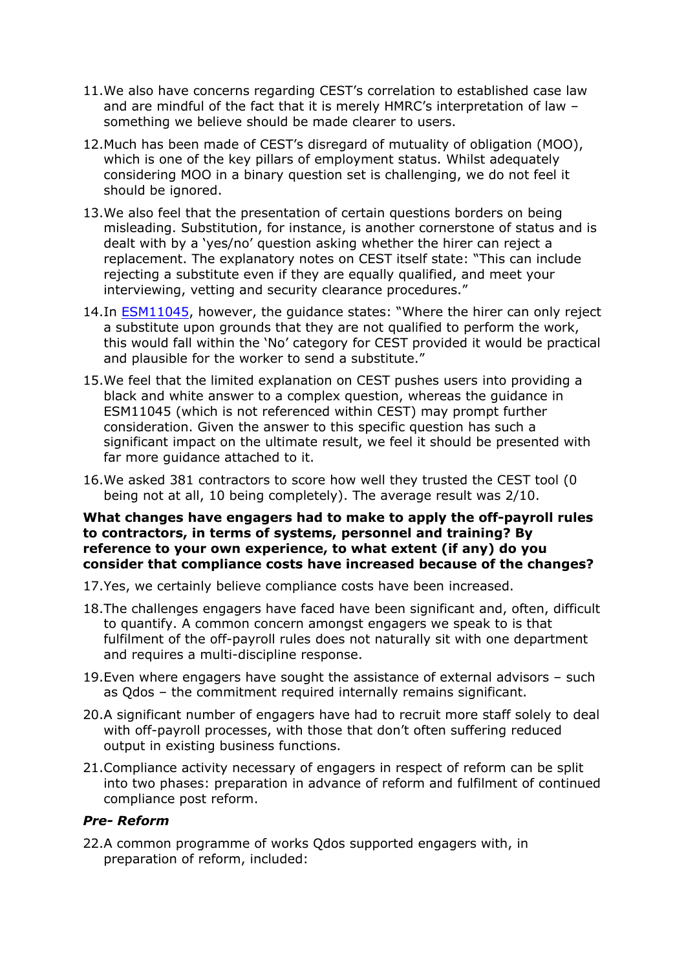- 11.We also have concerns regarding CEST's correlation to established case law and are mindful of the fact that it is merely HMRC's interpretation of law – something we believe should be made clearer to users.
- 12.Much has been made of CEST's disregard of mutuality of obligation (MOO), which is one of the key pillars of employment status. Whilst adequately considering MOO in a binary question set is challenging, we do not feel it should be ignored.
- 13.We also feel that the presentation of certain questions borders on being misleading. Substitution, for instance, is another cornerstone of status and is dealt with by a 'yes/no' question asking whether the hirer can reject a replacement. The explanatory notes on CEST itself state: "This can include rejecting a substitute even if they are equally qualified, and meet your interviewing, vetting and security clearance procedures."
- 14.In [ESM11045](https://www.gov.uk/hmrc-internal-manuals/employment-status-manual/esm11045), however, the guidance states: "Where the hirer can only reject a substitute upon grounds that they are not qualified to perform the work, this would fall within the 'No' category for CEST provided it would be practical and plausible for the worker to send a substitute."
- 15.We feel that the limited explanation on CEST pushes users into providing a black and white answer to a complex question, whereas the guidance in ESM11045 (which is not referenced within CEST) may prompt further consideration. Given the answer to this specific question has such a significant impact on the ultimate result, we feel it should be presented with far more guidance attached to it.
- 16.We asked 381 contractors to score how well they trusted the CEST tool (0 being not at all, 10 being completely). The average result was 2/10.

#### **What changes have engagers had to make to apply the off-payroll rules to contractors, in terms of systems, personnel and training? By reference to your own experience, to what extent (if any) do you consider that compliance costs have increased because of the changes?**

- 17.Yes, we certainly believe compliance costs have been increased.
- 18.The challenges engagers have faced have been significant and, often, difficult to quantify. A common concern amongst engagers we speak to is that fulfilment of the off-payroll rules does not naturally sit with one department and requires a multi-discipline response.
- 19.Even where engagers have sought the assistance of external advisors such as Qdos – the commitment required internally remains significant.
- 20.A significant number of engagers have had to recruit more staff solely to deal with off-payroll processes, with those that don't often suffering reduced output in existing business functions.
- 21.Compliance activity necessary of engagers in respect of reform can be split into two phases: preparation in advance of reform and fulfilment of continued compliance post reform.

# *Pre- Reform*

22.A common programme of works Qdos supported engagers with, in preparation of reform, included: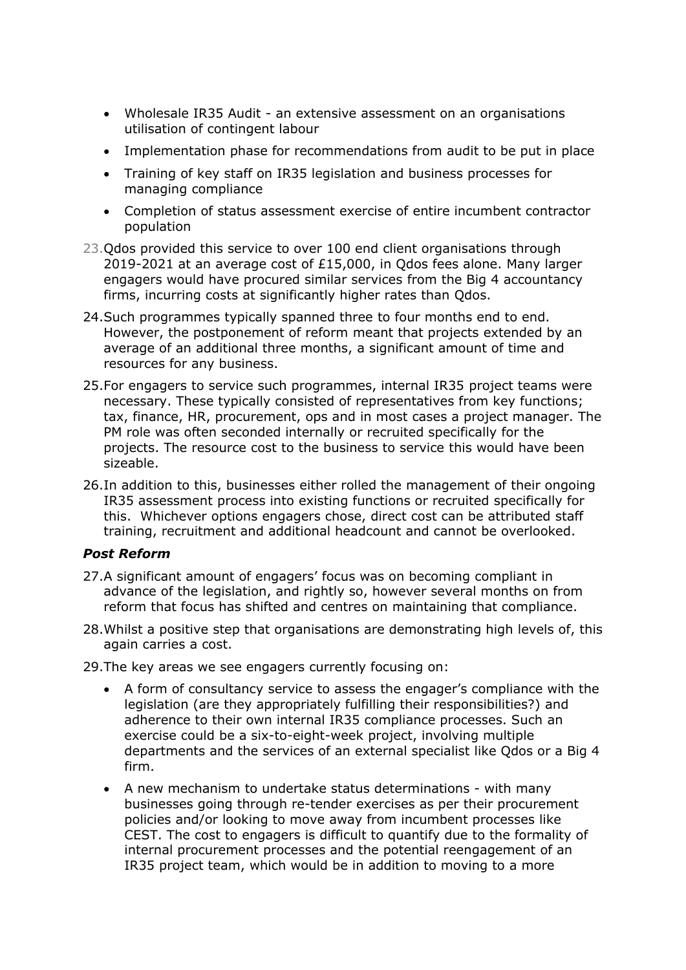- Wholesale IR35 Audit an extensive assessment on an organisations utilisation of contingent labour
- Implementation phase for recommendations from audit to be put in place
- Training of key staff on IR35 legislation and business processes for managing compliance
- Completion of status assessment exercise of entire incumbent contractor population
- 23.Qdos provided this service to over 100 end client organisations through 2019-2021 at an average cost of £15,000, in Qdos fees alone. Many larger engagers would have procured similar services from the Big 4 accountancy firms, incurring costs at significantly higher rates than Qdos.
- 24.Such programmes typically spanned three to four months end to end. However, the postponement of reform meant that projects extended by an average of an additional three months, a significant amount of time and resources for any business.
- 25.For engagers to service such programmes, internal IR35 project teams were necessary. These typically consisted of representatives from key functions; tax, finance, HR, procurement, ops and in most cases a project manager. The PM role was often seconded internally or recruited specifically for the projects. The resource cost to the business to service this would have been sizeable.
- 26.In addition to this, businesses either rolled the management of their ongoing IR35 assessment process into existing functions or recruited specifically for this. Whichever options engagers chose, direct cost can be attributed staff training, recruitment and additional headcount and cannot be overlooked.

# *Post Reform*

- 27.A significant amount of engagers' focus was on becoming compliant in advance of the legislation, and rightly so, however several months on from reform that focus has shifted and centres on maintaining that compliance.
- 28.Whilst a positive step that organisations are demonstrating high levels of, this again carries a cost.
- 29.The key areas we see engagers currently focusing on:
	- A form of consultancy service to assess the engager's compliance with the legislation (are they appropriately fulfilling their responsibilities?) and adherence to their own internal IR35 compliance processes. Such an exercise could be a six-to-eight-week project, involving multiple departments and the services of an external specialist like Qdos or a Big 4 firm.
	- A new mechanism to undertake status determinations with many businesses going through re-tender exercises as per their procurement policies and/or looking to move away from incumbent processes like CEST. The cost to engagers is difficult to quantify due to the formality of internal procurement processes and the potential reengagement of an IR35 project team, which would be in addition to moving to a more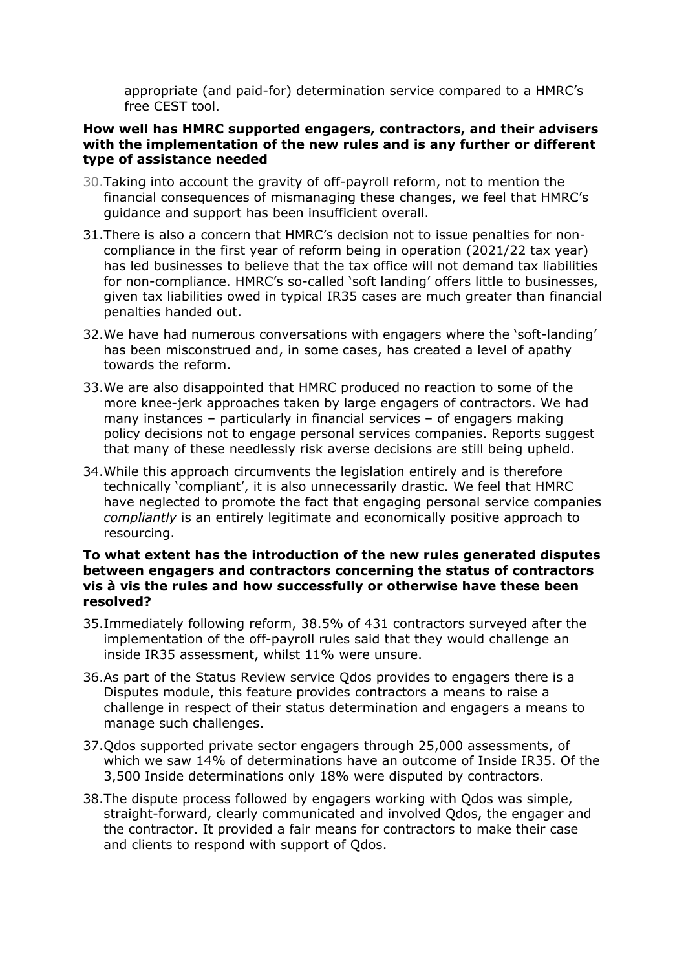appropriate (and paid-for) determination service compared to a HMRC's free CEST tool.

# **How well has HMRC supported engagers, contractors, and their advisers with the implementation of the new rules and is any further or different type of assistance needed**

- 30.Taking into account the gravity of off-payroll reform, not to mention the financial consequences of mismanaging these changes, we feel that HMRC's guidance and support has been insufficient overall.
- 31.There is also a concern that HMRC's decision not to issue penalties for noncompliance in the first year of reform being in operation (2021/22 tax year) has led businesses to believe that the tax office will not demand tax liabilities for non-compliance. HMRC's so-called 'soft landing' offers little to businesses, given tax liabilities owed in typical IR35 cases are much greater than financial penalties handed out.
- 32.We have had numerous conversations with engagers where the 'soft-landing' has been misconstrued and, in some cases, has created a level of apathy towards the reform.
- 33.We are also disappointed that HMRC produced no reaction to some of the more knee-jerk approaches taken by large engagers of contractors. We had many instances – particularly in financial services – of engagers making policy decisions not to engage personal services companies. Reports suggest that many of these needlessly risk averse decisions are still being upheld.
- 34.While this approach circumvents the legislation entirely and is therefore technically 'compliant', it is also unnecessarily drastic. We feel that HMRC have neglected to promote the fact that engaging personal service companies *compliantly* is an entirely legitimate and economically positive approach to resourcing.

## **To what extent has the introduction of the new rules generated disputes between engagers and contractors concerning the status of contractors vis à vis the rules and how successfully or otherwise have these been resolved?**

- 35.Immediately following reform, 38.5% of 431 contractors surveyed after the implementation of the off-payroll rules said that they would challenge an inside IR35 assessment, whilst 11% were unsure.
- 36.As part of the Status Review service Qdos provides to engagers there is a Disputes module, this feature provides contractors a means to raise a challenge in respect of their status determination and engagers a means to manage such challenges.
- 37.Qdos supported private sector engagers through 25,000 assessments, of which we saw 14% of determinations have an outcome of Inside IR35. Of the 3,500 Inside determinations only 18% were disputed by contractors.
- 38.The dispute process followed by engagers working with Qdos was simple, straight-forward, clearly communicated and involved Qdos, the engager and the contractor. It provided a fair means for contractors to make their case and clients to respond with support of Qdos.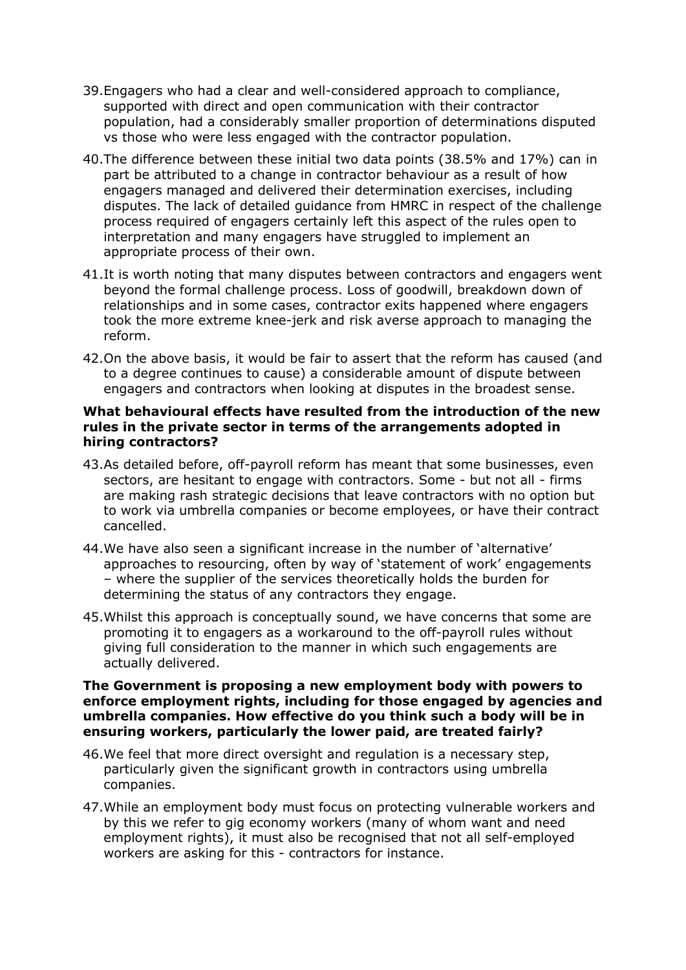- 39.Engagers who had a clear and well-considered approach to compliance, supported with direct and open communication with their contractor population, had a considerably smaller proportion of determinations disputed vs those who were less engaged with the contractor population.
- 40.The difference between these initial two data points (38.5% and 17%) can in part be attributed to a change in contractor behaviour as a result of how engagers managed and delivered their determination exercises, including disputes. The lack of detailed guidance from HMRC in respect of the challenge process required of engagers certainly left this aspect of the rules open to interpretation and many engagers have struggled to implement an appropriate process of their own.
- 41.It is worth noting that many disputes between contractors and engagers went beyond the formal challenge process. Loss of goodwill, breakdown down of relationships and in some cases, contractor exits happened where engagers took the more extreme knee-jerk and risk averse approach to managing the reform.
- 42.On the above basis, it would be fair to assert that the reform has caused (and to a degree continues to cause) a considerable amount of dispute between engagers and contractors when looking at disputes in the broadest sense.

## **What behavioural effects have resulted from the introduction of the new rules in the private sector in terms of the arrangements adopted in hiring contractors?**

- 43.As detailed before, off-payroll reform has meant that some businesses, even sectors, are hesitant to engage with contractors. Some - but not all - firms are making rash strategic decisions that leave contractors with no option but to work via umbrella companies or become employees, or have their contract cancelled.
- 44.We have also seen a significant increase in the number of 'alternative' approaches to resourcing, often by way of 'statement of work' engagements – where the supplier of the services theoretically holds the burden for determining the status of any contractors they engage.
- 45.Whilst this approach is conceptually sound, we have concerns that some are promoting it to engagers as a workaround to the off-payroll rules without giving full consideration to the manner in which such engagements are actually delivered.

#### **The Government is proposing a new employment body with powers to enforce employment rights, including for those engaged by agencies and umbrella companies. How effective do you think such a body will be in ensuring workers, particularly the lower paid, are treated fairly?**

- 46.We feel that more direct oversight and regulation is a necessary step, particularly given the significant growth in contractors using umbrella companies.
- 47.While an employment body must focus on protecting vulnerable workers and by this we refer to gig economy workers (many of whom want and need employment rights), it must also be recognised that not all self-employed workers are asking for this - contractors for instance.